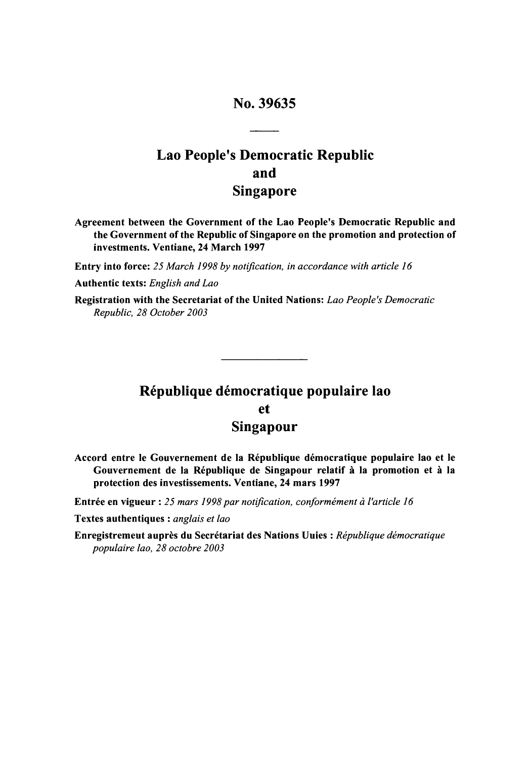# No. 39635

# Lao People's Democratic Republic and Singapore

Agreement between the Government of the Lao People's Democratic Republic and the Government of the Republic of Singapore on the promotion and protection of investments. Ventiane, 24 March **1997**

Entry into force: *25 March 1998 by notification, in accordance with article 16*

Authentic texts: *English and Lao*

Registration with the Secretariat of the United Nations: *Lao People's Democratic Republic, 28 October 2003*

# République démocratique populaire lao et Singapour

Accord entre le Gouvernement de **la** Rkpublique democratique populaire lao et le Gouvernement de **la** R6publique de Singapour relatif **A la** promotion et **A** la protection des investissements. Ventiane, 24 mars **1997**

Entrée en vigueur : 25 mars 1998 par notification, conformément à l'article 16

Textes authentiques : *anglais et lao*

Enregistremeut auprès du Secrétariat des Nations Uuies : *République démocratique populaire lao, 28 octobre 2003*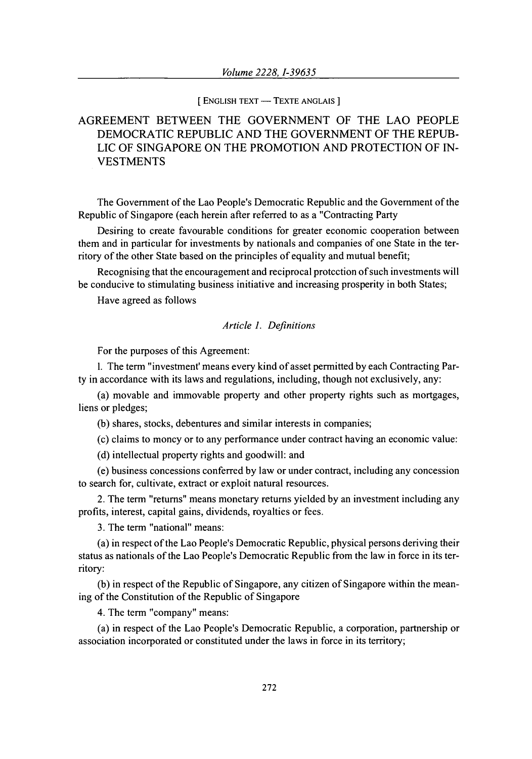#### **[ ENGLISH** TEXT **-** TEXTE **ANGLAIS ]**

# AGREEMENT BETWEEN THE GOVERNMENT OF THE LAO PEOPLE DEMOCRATIC REPUBLIC **AND** THE GOVERNMENT OF THE REPUB-LIC OF SINGAPORE ON THE PROMOTION AND PROTECTION OF IN-VESTMENTS

The Government of the Lao People's Democratic Republic and the Government of the Republic of Singapore (each herein after referred to as a "Contracting Party

Desiring to create favourable conditions for greater economic cooperation between them and in particular for investments by nationals and companies of one State in the territory of the other State based on the principles of equality and mutual benefit;

Recognising that the encouragement and reciprocal protection of such investments will be conducive to stimulating business initiative and increasing prosperity in both States;

Have agreed as follows

### *Article 1. Definitions*

For the purposes of this Agreement:

**1.** The term "investment' means every kind of asset permitted by each Contracting Party in accordance with its laws and regulations, including, though not exclusively, any:

(a) movable and immovable property and other property rights such as mortgages, liens or pledges;

(b) shares, stocks, debentures and similar interests in companies;

(c) claims to money or to any performance under contract having an economic value:

(d) intellectual property rights and goodwill: and

(e) business concessions conferred by law or under contract, including any concession to search for, cultivate, extract or exploit natural resources.

2. The term "returns" means monetary returns yielded by an investment including any profits, interest, capital gains, dividends, royalties or fees.

3. The term "national" means:

(a) in respect of the Lao People's Democratic Republic, physical persons deriving their status as nationals of the Lao People's Democratic Republic from the law in force in its territory:

(b) in respect of the Republic of Singapore, any citizen of Singapore within the meaning of the Constitution of the Republic of Singapore

4. The term "company" means:

(a) in respect of the Lao People's Democratic Republic, a corporation, partnership or association incorporated or constituted under the laws in force in its territory;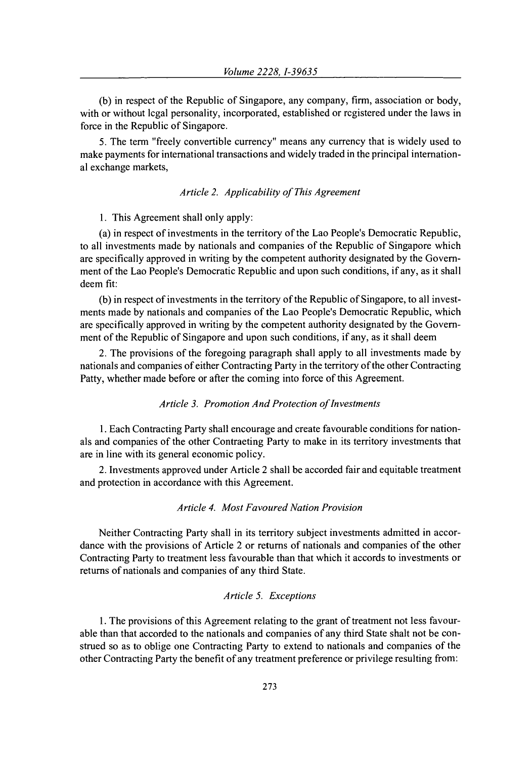(b) in respect of the Republic of Singapore, any company, firm, association or body, with or without legal personality, incorporated, established or registered under the laws in force in the Republic of Singapore.

5. The term "freely convertible currency" means any currency that is widely used to make payments for international transactions and widely traded in the principal international exchange markets,

### *Article 2. Applicability of This Agreement*

1. This Agreement shall only apply:

(a) in respect of investments in the territory of the Lao People's Democratic Republic, to all investments made by nationals and companies of the Republic of Singapore which are specifically approved in writing by the competent authority designated by the Government of the Lao People's Democratic Republic and upon such conditions, if any, as it shall deem fit:

(b) in respect of investments in the territory of the Republic of Singapore, to all investments made by nationals and companies of the Lao People's Democratic Republic, which are specifically approved in writing by the competent authority designated by the Government of the Republic of Singapore and upon such conditions, if any, as it shall deem

2. The provisions of the foregoing paragraph shall apply to all investments made by nationals and companies of either Contracting Party in the territory of the other Contracting Patty, whether made before or after the coming into force of this Agreement.

#### *Article 3. Promotion And Protection of Investments*

1. Each Contracting Party shall encourage and create favourable conditions for nationals and companies of the other Contracting Party to make in its territory investments that are in line with its general economic policy.

2. Investments approved under Article 2 shall be accorded fair and equitable treatment and protection in accordance with this Agreement.

#### *Article 4. Most Favoured Nation Provision*

Neither Contracting Party shall in its territory subject investments admitted in accordance with the provisions of Article 2 or returns of nationals and companies of the other Contracting Party to treatment less favourable than that which it accords to investments or returns of nationals and companies of any third State.

### *Article 5. Exceptions*

1. The provisions of this Agreement relating to the grant of treatment not less favourable than that accorded to the nationals and companies of any third State shalt not be construed so as to oblige one Contracting Party to extend to nationals and companies of the other Contracting Party the benefit of any treatment preference or privilege resulting from: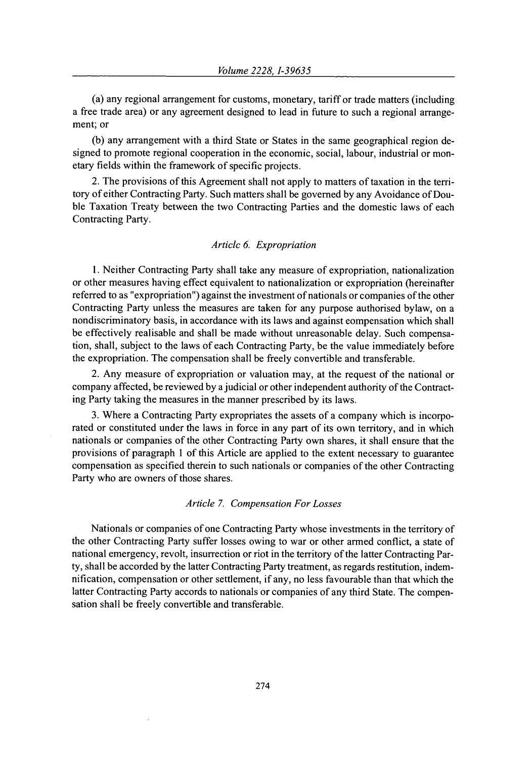(a) any regional arrangement for customs, monetary, tariff or trade matters (including a free trade area) or any agreement designed to lead in future to such a regional arrangement; or

(b) any arrangement with a third State or States in the same geographical region designed to promote regional cooperation in the economic, social, labour, industrial or monetary fields within the framework of specific projects.

2. The provisions of this Agreement shall not apply to matters of taxation in the territory of either Contracting Party. Such matters shall be governed by any Avoidance of Double Taxation Treaty between the two Contracting Parties and the domestic laws of each Contracting Party.

#### *Article 6. Expropriation*

1. Neither Contracting Party shall take any measure of expropriation, nationalization or other measures having effect equivalent to nationalization or expropriation (hereinafter referred to as "expropriation") against the investment of nationals or companies of the other Contracting Party unless the measures are taken for any purpose authorised bylaw, on a nondiscriminatory basis, in accordance with its laws and against compensation which shall be effectively realisable and shall be made without unreasonable delay. Such compensation, shall, subject to the laws of each Contracting Party, be the value immediately before the expropriation. The compensation shall be freely convertible and transferable.

2. Any measure of expropriation or valuation may, at the request of the national or company affected, be reviewed by a judicial or other independent authority of the Contracting Party taking the measures in the manner prescribed by its laws.

3. Where a Contracting Party expropriates the assets of a company which is incorporated or constituted under the laws in force in any part of its own territory, and in which nationals or companies of the other Contracting Party own shares, it shall ensure that the provisions of paragraph 1 of this Article are applied to the extent necessary to guarantee compensation as specified therein to such nationals or companies of the other Contracting Party who are owners of those shares.

#### *Article 7. Compensation For Losses*

Nationals or companies of one Contracting Party whose investments in the territory of the other Contracting Party suffer losses owing to war or other armed conflict, a state of national emergency, revolt, insurrection or riot in the territory of the latter Contracting Party, shall be accorded by the latter Contracting Party treatment, as regards restitution, indemnification, compensation or other settlement, if any, no less favourable than that which the latter Contracting Party accords to nationals or companies of any third State. The compensation shall be freely convertible and transferable.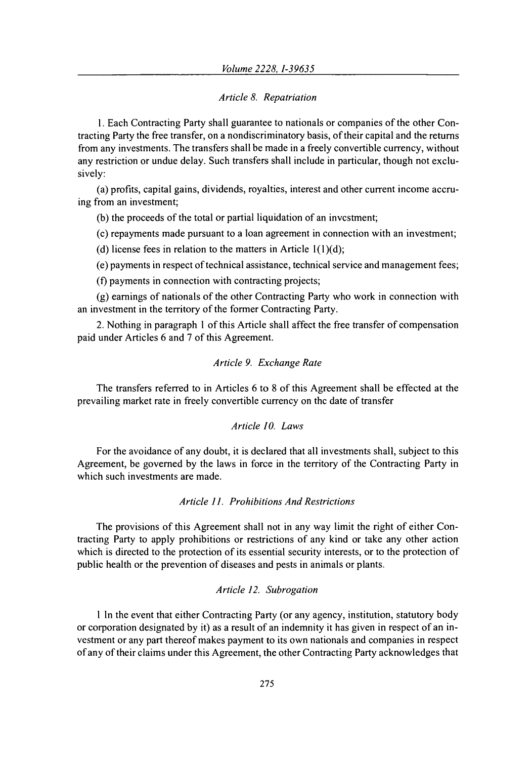## *Article 8. Repatriation*

**1.** Each Contracting Party shall guarantee to nationals or companies of the other Contracting Party the free transfer, on a nondiscriminatory basis, of their capital and the returns from any investments. The transfers shall be made in a freely convertible currency, without any restriction or undue delay. Such transfers shall include in particular, though not exclusively:

(a) profits, capital gains, dividends, royalties, interest and other current income accruing from an investment;

(b) the proceeds of the total or partial liquidation of an investment;

(c) repayments made pursuant to a loan agreement in connection with an investment;

(d) license fees in relation to the matters in Article  $1(1)(d)$ ;

(e) payments in respect of technical assistance, technical service and management fees;

(f) payments in connection with contracting projects;

(g) earnings of nationals of the other Contracting Party who work in connection with an investment in the territory of the former Contracting Party.

2. Nothing in paragraph **I** of this Article shall affect the free transfer of compensation paid under Articles 6 and 7 of this Agreement.

## *Article 9. Exchange Rate*

The transfers referred to in Articles 6 to 8 of this Agreement shall be effected at the prevailing market rate in freely convertible currency on the date of transfer

### *Article 10. Laws*

For the avoidance of any doubt, it is declared that all investments shall, subject to this Agreement, be governed by the laws in force in the territory of the Contracting Party in which such investments are made.

# *Article 1]. Prohibitions And Restrictions*

The provisions of this Agreement shall not in any way limit the right of either Contracting Party to apply prohibitions or restrictions of any kind or take any other action which is directed to the protection of its essential security interests, or to the protection of public health or the prevention of diseases and pests in animals or plants.

### *Article 12. Subrogation*

1 In the event that either Contracting Party (or any agency, institution, statutory body or corporation designated by it) as a result of an indemnity it has given in respect of an investment or any part thereof makes payment to its own nationals and companies in respect of any of their claims under this Agreement, the other Contracting Party acknowledges that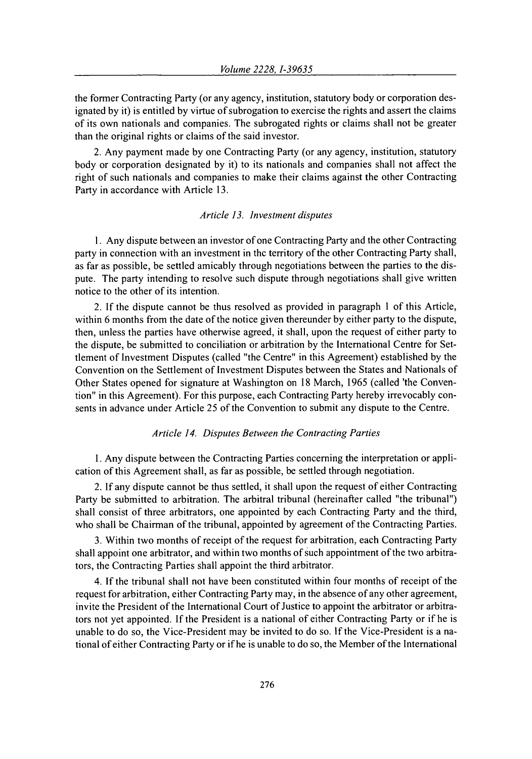the former Contracting Party (or any agency, institution, statutory body or corporation designated by it) is entitled by virtue of subrogation to exercise the rights and assert the claims of its own nationals and companies. The subrogated rights or claims shall not be greater than the original rights or claims of the said investor.

2. Any payment made by one Contracting Party (or any agency, institution, statutory body or corporation designated by it) to its nationals and companies shall not affect the right of such nationals and companies to make their claims against the other Contracting Party in accordance with Article 13.

#### *Article 13. Investment disputes*

1. Any dispute between an investor of one Contracting Party and the other Contracting party in connection with an investment in the territory of the other Contracting Party shall, as far as possible, be settled amicably through negotiations between the parties to the dispute. The party intending to resolve such dispute through negotiations shall give written notice to the other of its intention.

2. If the dispute cannot be thus resolved as provided in paragraph 1 of this Article, within 6 months from the date of the notice given thereunder by either party to the dispute, then, unless the parties have otherwise agreed, it shall, upon the request of either party to the dispute, be submitted to conciliation or arbitration by the International Centre for Settlement of Investment Disputes (called "the Centre" in this Agreement) established by the Convention on the Settlement of Investment Disputes between the States and Nationals of Other States opened for signature at Washington on 18 March, 1965 (called 'the Convention" in this Agreement). For this purpose, each Contracting Party hereby irrevocably consents in advance under Article 25 of the Convention to submit any dispute to the Centre.

#### *Article 14. Disputes Between the Contracting Parties*

1. Any dispute between the Contracting Parties concerning the interpretation or application of this Agreement shall, as far as possible, be settled through negotiation.

2. If any dispute cannot be thus settled, it shall upon the request of either Contracting Party be submitted to arbitration. The arbitral tribunal (hereinafter called "the tribunal") shall consist of three arbitrators, one appointed by each Contracting Party and the third, who shall be Chairman of the tribunal, appointed by agreement of the Contracting Parties.

3. Within two months of receipt of the request for arbitration, each Contracting Party shall appoint one arbitrator, and within two months of such appointment of the two arbitrators, the Contracting Parties shall appoint the third arbitrator.

4. If the tribunal shall not have been constituted within four months of receipt of the request for arbitration, either Contracting Party may, in the absence of any other agreement, invite the President of the International Court of Justice to appoint the arbitrator or arbitrators not yet appointed. If the President is a national of either Contracting Party or if he is unable to do so, the Vice-President may be invited to do so. If the Vice-President is a national of either Contracting Party or if he is unable to do so, the Member of the International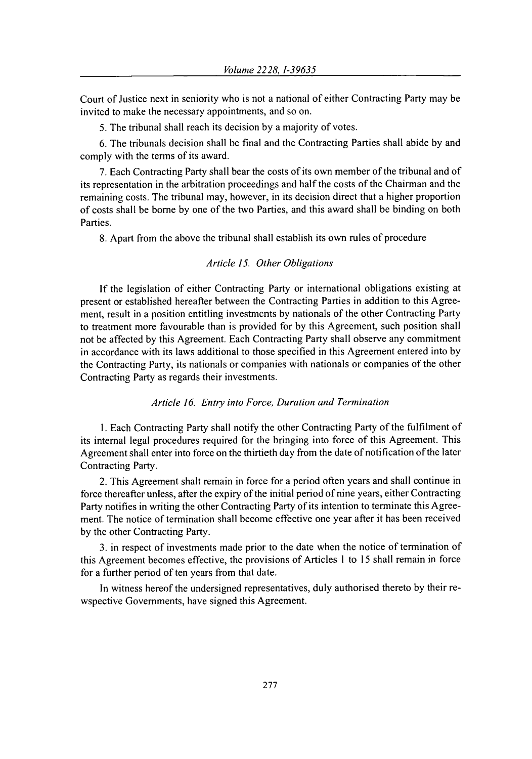Court of Justice next in seniority who is not a national of either Contracting Party may be invited to make the necessary appointments, and so on.

5. The tribunal shall reach its decision by a majority of votes.

6. The tribunals decision shall be final and the Contracting Parties shall abide by and comply with the terms of its award.

7. Each Contracting Party shall bear the costs of its own member of the tribunal and of its representation in the arbitration proceedings and half the costs of the Chairman and the remaining costs. The tribunal may, however, in its decision direct that a higher proportion of costs shall be borne by one of the two Parties, and this award shall be binding on both Parties.

8. Apart from the above the tribunal shall establish its own rules of procedure

#### *Article 15. Other Obligations*

If the legislation of either Contracting Party or international obligations existing at present or established hereafter between the Contracting Parties in addition to this Agreement, result in a position entitling investments by nationals of the other Contracting Party to treatment more favourable than is provided for by this Agreement, such position shall not be affected by this Agreement. Each Contracting Party shall observe any commitment in accordance with its laws additional to those specified in this Agreement entered into by the Contracting Party, its nationals or companies with nationals or companies of the other Contracting Party as regards their investments.

#### *Article 16. Entry into Force, Duration and Termination*

1. Each Contracting Party shall notify the other Contracting Party of the fulfilment of its internal legal procedures required for the bringing into force of this Agreement. This Agreement shall enter into force on the thirtieth day from the date of notification of the later Contracting Party.

2. This Agreement shalt remain in force for a period often years and shall continue in force thereafter unless, after the expiry of the initial period of nine years, either Contracting Party notifies in writing the other Contracting Party of its intention to terminate this Agreement. The notice of termination shall become effective one year after it has been received by the other Contracting Party.

3. in respect of investments made prior to the date when the notice of termination of this Agreement becomes effective, the provisions of Articles 1 to 15 shall remain in force for a further period of ten years from that date.

In witness hereof the undersigned representatives, duly authorised thereto by their rewspective Governments, have signed this Agreement.